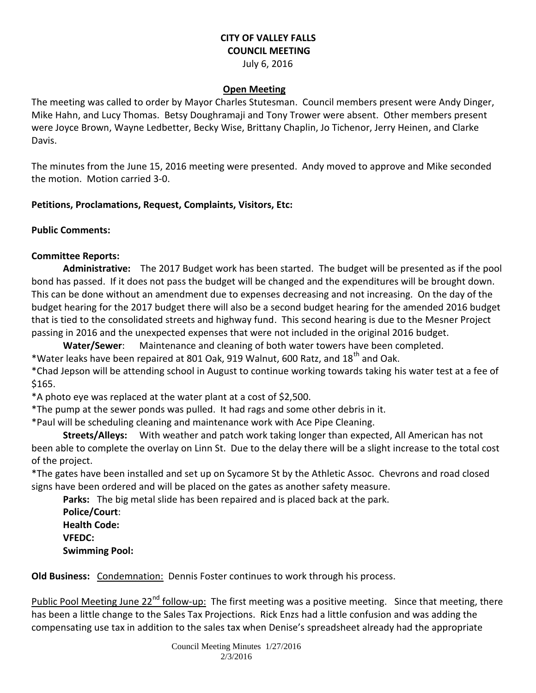## **CITY OF VALLEY FALLS COUNCIL MEETING**

July 6, 2016

## **Open Meeting**

The meeting was called to order by Mayor Charles Stutesman. Council members present were Andy Dinger, Mike Hahn, and Lucy Thomas. Betsy Doughramaji and Tony Trower were absent. Other members present were Joyce Brown, Wayne Ledbetter, Becky Wise, Brittany Chaplin, Jo Tichenor, Jerry Heinen, and Clarke Davis.

The minutes from the June 15, 2016 meeting were presented. Andy moved to approve and Mike seconded the motion. Motion carried 3-0.

**Petitions, Proclamations, Request, Complaints, Visitors, Etc:** 

**Public Comments:** 

## **Committee Reports:**

**Administrative:** The 2017 Budget work has been started. The budget will be presented as if the pool bond has passed. If it does not pass the budget will be changed and the expenditures will be brought down. This can be done without an amendment due to expenses decreasing and not increasing. On the day of the budget hearing for the 2017 budget there will also be a second budget hearing for the amended 2016 budget that is tied to the consolidated streets and highway fund. This second hearing is due to the Mesner Project passing in 2016 and the unexpected expenses that were not included in the original 2016 budget.

**Water/Sewer**: Maintenance and cleaning of both water towers have been completed.

\*Water leaks have been repaired at 801 Oak, 919 Walnut, 600 Ratz, and  $18^{th}$  and Oak.

\*Chad Jepson will be attending school in August to continue working towards taking his water test at a fee of \$165.

\*A photo eye was replaced at the water plant at a cost of \$2,500.

\*The pump at the sewer ponds was pulled. It had rags and some other debris in it.

\*Paul will be scheduling cleaning and maintenance work with Ace Pipe Cleaning.

**Streets/Alleys:** With weather and patch work taking longer than expected, All American has not been able to complete the overlay on Linn St. Due to the delay there will be a slight increase to the total cost of the project.

\*The gates have been installed and set up on Sycamore St by the Athletic Assoc. Chevrons and road closed signs have been ordered and will be placed on the gates as another safety measure.

**Parks:** The big metal slide has been repaired and is placed back at the park.

**Police/Court**: **Health Code: VFEDC: Swimming Pool:** 

**Old Business:** Condemnation: Dennis Foster continues to work through his process.

Public Pool Meeting June 22<sup>nd</sup> follow-up: The first meeting was a positive meeting. Since that meeting, there has been a little change to the Sales Tax Projections. Rick Enzs had a little confusion and was adding the compensating use tax in addition to the sales tax when Denise's spreadsheet already had the appropriate